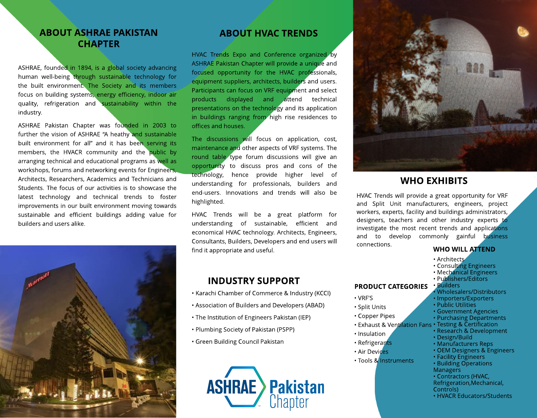# ABOUT ASHRAE PAKISTAN **CHAPTER**

ASHRAE, founded in 1894, is a global society advancing human well-being through sustainable technology for the built environment. The Society and its members focus on building systems, energy efficiency, indoor air quality, refrigeration and sustainability within the industry.

ASHRAE Pakistan Chapter was founded in 2003 to further the vision of ASHRAE "A heathy and sustainable built environment for all" and it has been serving its members, the HVACR community and the public by arranging technical and educational programs as well as workshops, forums and networking events for Engineers, Architects, Researchers, Academics and Technicians and Students. The focus of our activities is to showcase the latest technology and technical trends to foster improvements in our built environment moving towards sustainable and efficient buildings adding value for builders and users alike.



### ABOUT HVAC TRENDS

HVAC Trends Expo and Conference organized by ASHRAE Pakistan Chapter will provide a unique and focused opportunity for the HVAC professionals, equipment suppliers, architects, builders and users. Participants can focus on VRF equipment and select products displayed and attend technical presentations on the technology and its application in buildings ranging from high rise residences to offices and houses.

The discussions will focus on application, cost, maintenance and other aspects of VRF systems. The round table type forum discussions will give an opportunity to discuss pros and cons of the technology, hence provide higher level of understanding for professionals, builders and end-users. Innovations and trends will also be highlighted.

HVAC Trends will be a great platform for understanding of sustainable, efficient and economical HVAC technology. Architects, Engineers, Consultants, Builders, Developers and end users will find it appropriate and useful.

## INDUSTRY SUPPORT

- Karachi Chamber of Commerce & Industry (KCCI)
- Association of Builders and Developers (ABAD)
- The Institution of Engineers Pakistan (IEP)
- Plumbing Society of Pakistan (PSPP)
- Green Building Council Pakistan





## WHO EXHIBITS

HVAC Trends will provide a great opportunity for VRF and Split Unit manufacturers, engineers, project workers, experts, facility and buildings administrators, designers, teachers and other industry experts to investigate the most recent trends and applications and to develop commonly gainful business connections.

### WHO WILL ATTEND

- · Architects
- Consulting Engineers
- Mechanical Engineers
- PRODUCT CATEGORIES - Publishers/Editors - Builders
	- Wholesalers/Distributors
	- Importers/Exporters
	- Public Utilities

- Design/Build - Manufacturers Reps - OEM Designers & Engineers

- Government Agencies
- Purchasing Departments
- Exhaust & Ventilation Fans Testing & Certification - Research & Development
- Insulation

- VRF'S - Split Units - Copper Pipes

- Refrigerants
- Air Devices
- Tools & Instruments
- Building Operations **Managers**
- Contractors (HVAC,

- Facility Engineers

- Refrigeration,Mechanical,
- Controls)
- HVACR Educators/Students